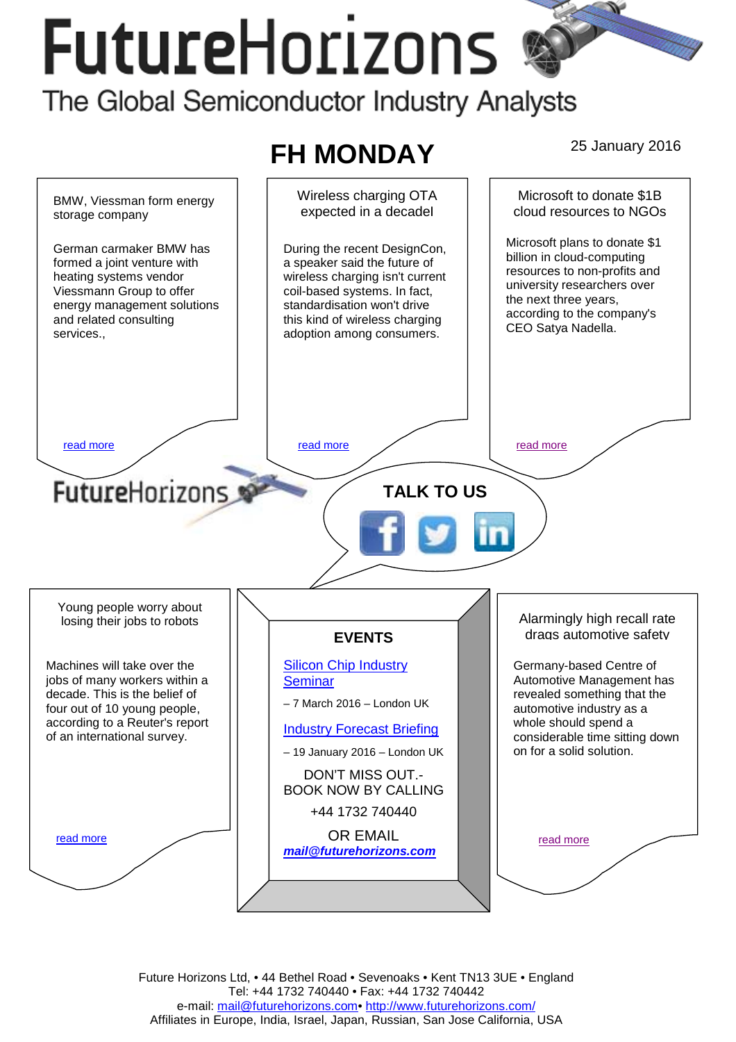# **FutureHorizons** The Global Semiconductor Industry Analysts



Future Horizons Ltd, • 44 Bethel Road • Sevenoaks • Kent TN13 3UE • England Tel: +44 1732 740440 • Fax: +44 1732 740442 e-mail: mail@futurehorizons.com• http://www.futurehorizons.com/ Affiliates in Europe, India, Israel, Japan, Russian, San Jose California, USA